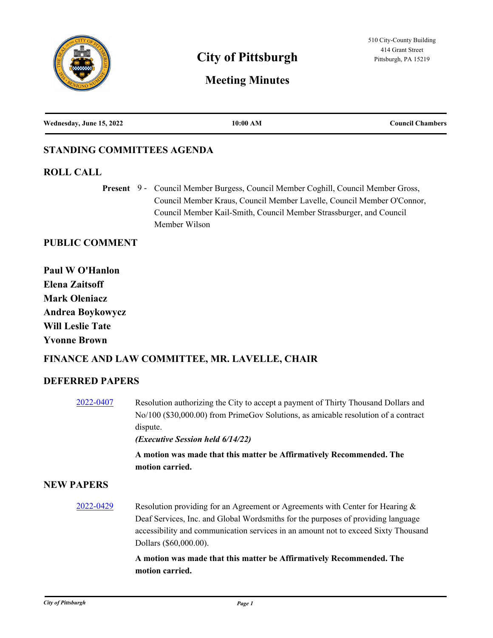

# **City of Pittsburgh Pittsburgh Pittsburgh, PA 15219**

# **Meeting Minutes**

| Wednesday, June 15, 2022 | 10:00 AM | <b>Council Chambers</b> |
|--------------------------|----------|-------------------------|
|                          |          |                         |

# **STANDING COMMITTEES AGENDA**

#### **ROLL CALL**

Present 9 - Council Member Burgess, Council Member Coghill, Council Member Gross, Council Member Kraus, Council Member Lavelle, Council Member O'Connor, Council Member Kail-Smith, Council Member Strassburger, and Council Member Wilson

### **PUBLIC COMMENT**

**Paul W O'Hanlon Elena Zaitsoff Mark Oleniacz Andrea Boykowycz Will Leslie Tate Yvonne Brown**

# **FINANCE AND LAW COMMITTEE, MR. LAVELLE, CHAIR**

# **DEFERRED PAPERS**

[2022-0407](http://pittsburgh.legistar.com/gateway.aspx?m=l&id=/matter.aspx?key=27790) Resolution authorizing the City to accept a payment of Thirty Thousand Dollars and No/100 (\$30,000.00) from PrimeGov Solutions, as amicable resolution of a contract dispute.

*(Executive Session held 6/14/22)*

**A motion was made that this matter be Affirmatively Recommended. The motion carried.**

#### **NEW PAPERS**

[2022-0429](http://pittsburgh.legistar.com/gateway.aspx?m=l&id=/matter.aspx?key=27812) Resolution providing for an Agreement or Agreements with Center for Hearing & Deaf Services, Inc. and Global Wordsmiths for the purposes of providing language accessibility and communication services in an amount not to exceed Sixty Thousand Dollars (\$60,000.00).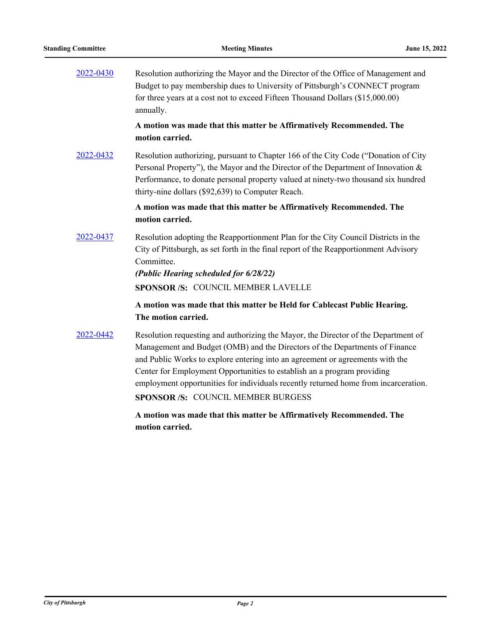[2022-0430](http://pittsburgh.legistar.com/gateway.aspx?m=l&id=/matter.aspx?key=27813) Resolution authorizing the Mayor and the Director of the Office of Management and Budget to pay membership dues to University of Pittsburgh's CONNECT program for three years at a cost not to exceed Fifteen Thousand Dollars (\$15,000.00) annually.

#### **A motion was made that this matter be Affirmatively Recommended. The motion carried.**

[2022-0432](http://pittsburgh.legistar.com/gateway.aspx?m=l&id=/matter.aspx?key=27815) Resolution authorizing, pursuant to Chapter 166 of the City Code ("Donation of City Personal Property"), the Mayor and the Director of the Department of Innovation & Performance, to donate personal property valued at ninety-two thousand six hundred thirty-nine dollars (\$92,639) to Computer Reach.

#### **A motion was made that this matter be Affirmatively Recommended. The motion carried.**

[2022-0437](http://pittsburgh.legistar.com/gateway.aspx?m=l&id=/matter.aspx?key=27820) Resolution adopting the Reapportionment Plan for the City Council Districts in the City of Pittsburgh, as set forth in the final report of the Reapportionment Advisory Committee.

> *(Public Hearing scheduled for 6/28/22)* **SPONSOR /S:** COUNCIL MEMBER LAVELLE

### **A motion was made that this matter be Held for Cablecast Public Hearing. The motion carried.**

[2022-0442](http://pittsburgh.legistar.com/gateway.aspx?m=l&id=/matter.aspx?key=27836) Resolution requesting and authorizing the Mayor, the Director of the Department of Management and Budget (OMB) and the Directors of the Departments of Finance and Public Works to explore entering into an agreement or agreements with the Center for Employment Opportunities to establish an a program providing employment opportunities for individuals recently returned home from incarceration. **SPONSOR /S:** COUNCIL MEMBER BURGESS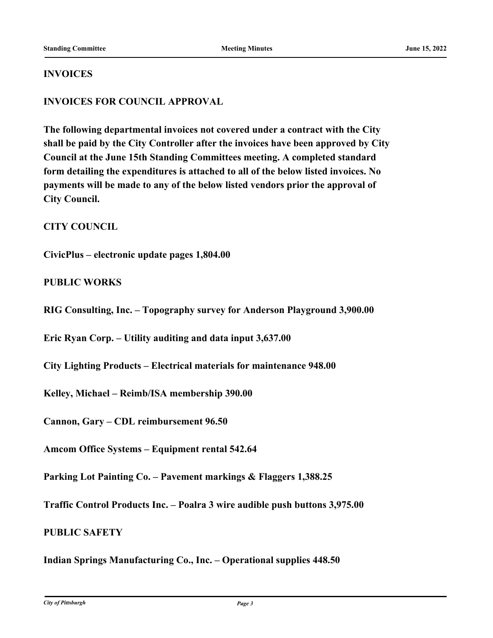#### **INVOICES**

### **INVOICES FOR COUNCIL APPROVAL**

**The following departmental invoices not covered under a contract with the City shall be paid by the City Controller after the invoices have been approved by City Council at the June 15th Standing Committees meeting. A completed standard form detailing the expenditures is attached to all of the below listed invoices. No payments will be made to any of the below listed vendors prior the approval of City Council.**

#### **CITY COUNCIL**

**CivicPlus – electronic update pages 1,804.00**

#### **PUBLIC WORKS**

**RIG Consulting, Inc. – Topography survey for Anderson Playground 3,900.00**

**Eric Ryan Corp. – Utility auditing and data input 3,637.00**

**City Lighting Products – Electrical materials for maintenance 948.00**

**Kelley, Michael – Reimb/ISA membership 390.00**

**Cannon, Gary – CDL reimbursement 96.50**

**Amcom Office Systems – Equipment rental 542.64**

**Parking Lot Painting Co. – Pavement markings & Flaggers 1,388.25**

**Traffic Control Products Inc. – Poalra 3 wire audible push buttons 3,975.00**

#### **PUBLIC SAFETY**

**Indian Springs Manufacturing Co., Inc. – Operational supplies 448.50**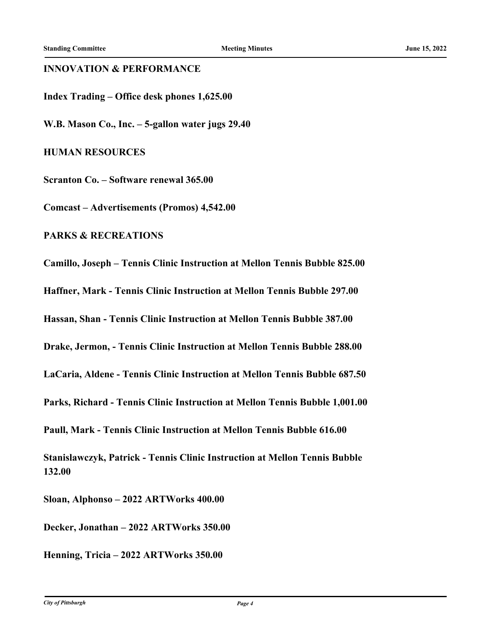#### **INNOVATION & PERFORMANCE**

**Index Trading – Office desk phones 1,625.00**

**W.B. Mason Co., Inc. – 5-gallon water jugs 29.40**

**HUMAN RESOURCES**

**Scranton Co. – Software renewal 365.00**

**Comcast – Advertisements (Promos) 4,542.00**

**PARKS & RECREATIONS**

**Camillo, Joseph – Tennis Clinic Instruction at Mellon Tennis Bubble 825.00 Haffner, Mark - Tennis Clinic Instruction at Mellon Tennis Bubble 297.00 Hassan, Shan - Tennis Clinic Instruction at Mellon Tennis Bubble 387.00 Drake, Jermon, - Tennis Clinic Instruction at Mellon Tennis Bubble 288.00 LaCaria, Aldene - Tennis Clinic Instruction at Mellon Tennis Bubble 687.50 Parks, Richard - Tennis Clinic Instruction at Mellon Tennis Bubble 1,001.00 Paull, Mark - Tennis Clinic Instruction at Mellon Tennis Bubble 616.00 Stanislawczyk, Patrick - Tennis Clinic Instruction at Mellon Tennis Bubble 132.00 Sloan, Alphonso – 2022 ARTWorks 400.00**

**Decker, Jonathan – 2022 ARTWorks 350.00**

**Henning, Tricia – 2022 ARTWorks 350.00**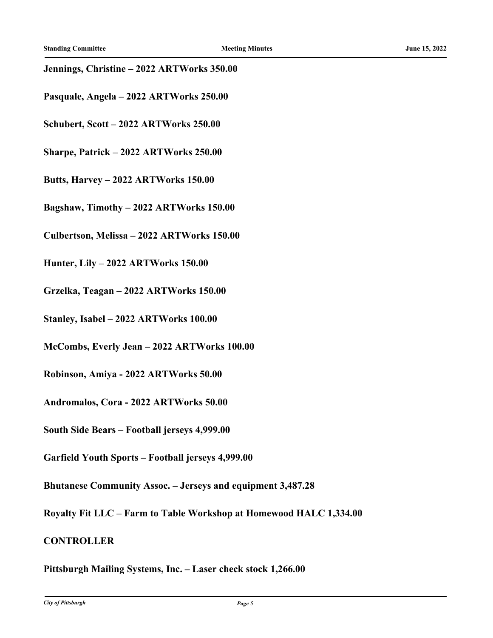#### **Jennings, Christine – 2022 ARTWorks 350.00**

- **Pasquale, Angela 2022 ARTWorks 250.00**
- **Schubert, Scott 2022 ARTWorks 250.00**
- **Sharpe, Patrick 2022 ARTWorks 250.00**
- **Butts, Harvey 2022 ARTWorks 150.00**
- **Bagshaw, Timothy 2022 ARTWorks 150.00**
- **Culbertson, Melissa 2022 ARTWorks 150.00**
- **Hunter, Lily 2022 ARTWorks 150.00**
- **Grzelka, Teagan 2022 ARTWorks 150.00**
- **Stanley, Isabel 2022 ARTWorks 100.00**
- **McCombs, Everly Jean 2022 ARTWorks 100.00**
- **Robinson, Amiya 2022 ARTWorks 50.00**
- **Andromalos, Cora 2022 ARTWorks 50.00**
- **South Side Bears Football jerseys 4,999.00**
- **Garfield Youth Sports Football jerseys 4,999.00**
- **Bhutanese Community Assoc. Jerseys and equipment 3,487.28**
- **Royalty Fit LLC Farm to Table Workshop at Homewood HALC 1,334.00**
- **CONTROLLER**

## **Pittsburgh Mailing Systems, Inc. – Laser check stock 1,266.00**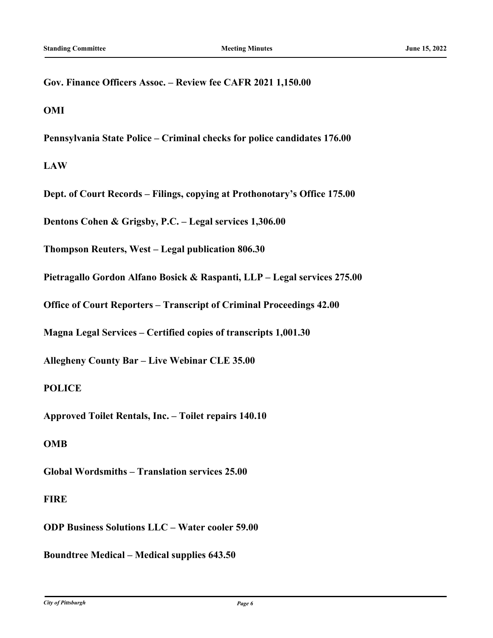**Gov. Finance Officers Assoc. – Review fee CAFR 2021 1,150.00**

**OMI**

**Pennsylvania State Police – Criminal checks for police candidates 176.00**

**LAW**

**Dept. of Court Records – Filings, copying at Prothonotary's Office 175.00**

**Dentons Cohen & Grigsby, P.C. – Legal services 1,306.00**

**Thompson Reuters, West – Legal publication 806.30**

**Pietragallo Gordon Alfano Bosick & Raspanti, LLP – Legal services 275.00**

**Office of Court Reporters – Transcript of Criminal Proceedings 42.00**

**Magna Legal Services – Certified copies of transcripts 1,001.30**

**Allegheny County Bar – Live Webinar CLE 35.00**

#### **POLICE**

**Approved Toilet Rentals, Inc. – Toilet repairs 140.10**

#### **OMB**

**Global Wordsmiths – Translation services 25.00**

#### **FIRE**

**ODP Business Solutions LLC – Water cooler 59.00**

**Boundtree Medical – Medical supplies 643.50**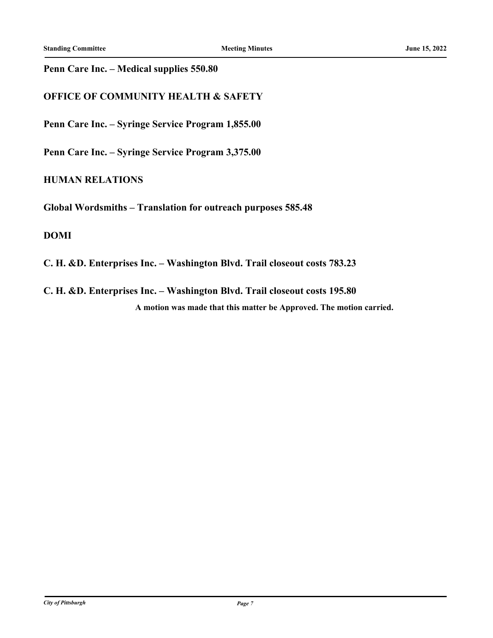#### **Penn Care Inc. – Medical supplies 550.80**

### **OFFICE OF COMMUNITY HEALTH & SAFETY**

**Penn Care Inc. – Syringe Service Program 1,855.00**

**Penn Care Inc. – Syringe Service Program 3,375.00**

#### **HUMAN RELATIONS**

**Global Wordsmiths – Translation for outreach purposes 585.48**

#### **DOMI**

**C. H. &D. Enterprises Inc. – Washington Blvd. Trail closeout costs 783.23**

**C. H. &D. Enterprises Inc. – Washington Blvd. Trail closeout costs 195.80 A motion was made that this matter be Approved. The motion carried.**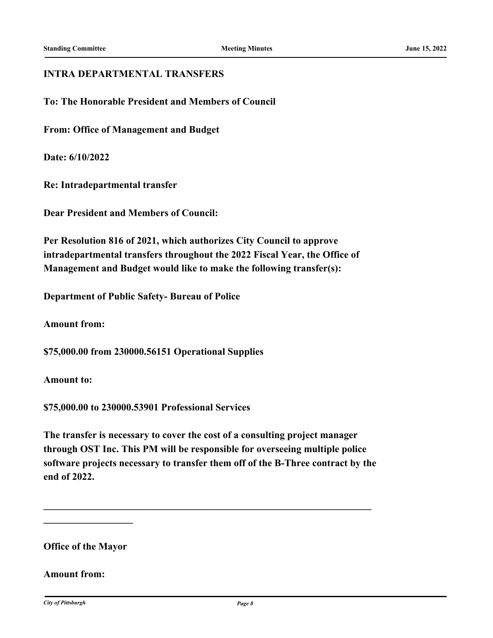#### **INTRA DEPARTMENTAL TRANSFERS**

**To: The Honorable President and Members of Council**

**From: Office of Management and Budget**

**Date: 6/10/2022**

**Re: Intradepartmental transfer**

**Dear President and Members of Council:**

**Per Resolution 816 of 2021, which authorizes City Council to approve intradepartmental transfers throughout the 2022 Fiscal Year, the Office of Management and Budget would like to make the following transfer(s):**

**Department of Public Safety- Bureau of Police**

**Amount from:**

**\$75,000.00 from 230000.56151 Operational Supplies**

**Amount to:**

**\$75,000.00 to 230000.53901 Professional Services**

**The transfer is necessary to cover the cost of a consulting project manager through OST Inc. This PM will be responsible for overseeing multiple police software projects necessary to transfer them off of the B-Three contract by the end of 2022.**

**\_\_\_\_\_\_\_\_\_\_\_\_\_\_\_\_\_\_\_\_\_\_\_\_\_\_\_\_\_\_\_\_\_\_\_\_\_\_\_\_\_\_\_\_\_\_\_\_\_\_\_\_\_\_\_\_\_\_\_\_\_\_\_\_\_\_**

**Office of the Mayor**

**\_\_\_\_\_\_\_\_\_\_\_\_\_\_\_\_\_\_**

#### **Amount from:**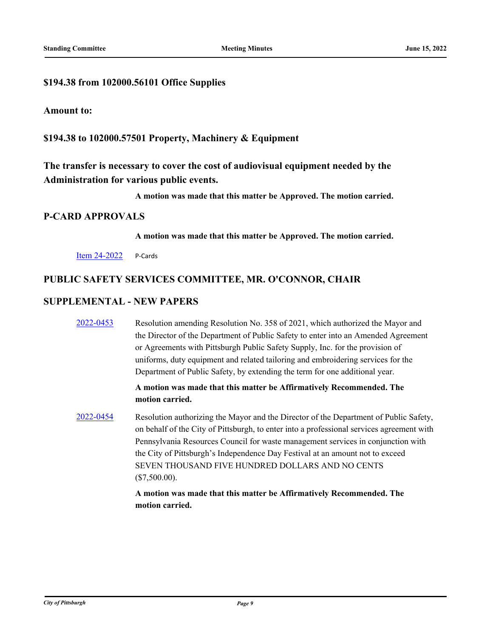#### **\$194.38 from 102000.56101 Office Supplies**

#### **Amount to:**

**\$194.38 to 102000.57501 Property, Machinery & Equipment**

**The transfer is necessary to cover the cost of audiovisual equipment needed by the Administration for various public events.**

**A motion was made that this matter be Approved. The motion carried.**

#### **P-CARD APPROVALS**

**A motion was made that this matter be Approved. The motion carried.**

[Item 24-2022](http://pittsburgh.legistar.com/gateway.aspx?m=l&id=/matter.aspx?key=27861) P-Cards

#### **PUBLIC SAFETY SERVICES COMMITTEE, MR. O'CONNOR, CHAIR**

#### **SUPPLEMENTAL - NEW PAPERS**

[2022-0453](http://pittsburgh.legistar.com/gateway.aspx?m=l&id=/matter.aspx?key=27848) Resolution amending Resolution No. 358 of 2021, which authorized the Mayor and the Director of the Department of Public Safety to enter into an Amended Agreement or Agreements with Pittsburgh Public Safety Supply, Inc. for the provision of uniforms, duty equipment and related tailoring and embroidering services for the Department of Public Safety, by extending the term for one additional year.

#### **A motion was made that this matter be Affirmatively Recommended. The motion carried.**

[2022-0454](http://pittsburgh.legistar.com/gateway.aspx?m=l&id=/matter.aspx?key=27849) Resolution authorizing the Mayor and the Director of the Department of Public Safety, on behalf of the City of Pittsburgh, to enter into a professional services agreement with Pennsylvania Resources Council for waste management services in conjunction with the City of Pittsburgh's Independence Day Festival at an amount not to exceed SEVEN THOUSAND FIVE HUNDRED DOLLARS AND NO CENTS (\$7,500.00).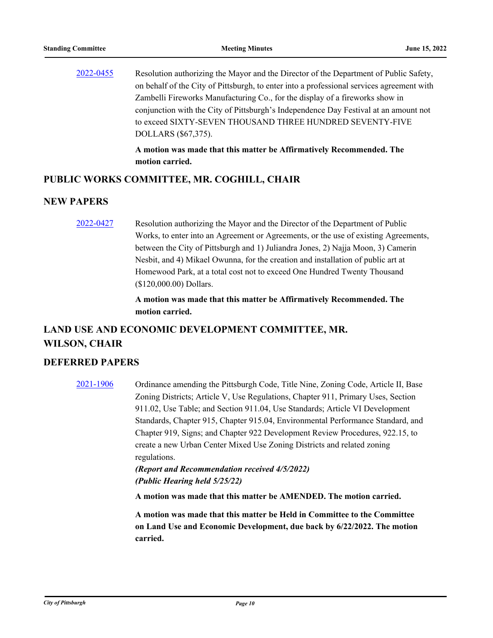| 2022-0455 | Resolution authorizing the Mayor and the Director of the Department of Public Safety,     |
|-----------|-------------------------------------------------------------------------------------------|
|           | on behalf of the City of Pittsburgh, to enter into a professional services agreement with |
|           | Zambelli Fireworks Manufacturing Co., for the display of a fireworks show in              |
|           | conjunction with the City of Pittsburgh's Independence Day Festival at an amount not      |
|           | to exceed SIXTY-SEVEN THOUSAND THREE HUNDRED SEVENTY-FIVE                                 |
|           | DOLLARS (\$67,375).                                                                       |
|           |                                                                                           |

**A motion was made that this matter be Affirmatively Recommended. The motion carried.**

#### **PUBLIC WORKS COMMITTEE, MR. COGHILL, CHAIR**

#### **NEW PAPERS**

[2022-0427](http://pittsburgh.legistar.com/gateway.aspx?m=l&id=/matter.aspx?key=27810) Resolution authorizing the Mayor and the Director of the Department of Public Works, to enter into an Agreement or Agreements, or the use of existing Agreements, between the City of Pittsburgh and 1) Juliandra Jones, 2) Najja Moon, 3) Camerin Nesbit, and 4) Mikael Owunna, for the creation and installation of public art at Homewood Park, at a total cost not to exceed One Hundred Twenty Thousand (\$120,000.00) Dollars.

> **A motion was made that this matter be Affirmatively Recommended. The motion carried.**

# **LAND USE AND ECONOMIC DEVELOPMENT COMMITTEE, MR. WILSON, CHAIR**

#### **DEFERRED PAPERS**

[2021-1906](http://pittsburgh.legistar.com/gateway.aspx?m=l&id=/matter.aspx?key=26777) Ordinance amending the Pittsburgh Code, Title Nine, Zoning Code, Article II, Base Zoning Districts; Article V, Use Regulations, Chapter 911, Primary Uses, Section 911.02, Use Table; and Section 911.04, Use Standards; Article VI Development Standards, Chapter 915, Chapter 915.04, Environmental Performance Standard, and Chapter 919, Signs; and Chapter 922 Development Review Procedures, 922.15, to create a new Urban Center Mixed Use Zoning Districts and related zoning regulations.

*(Report and Recommendation received 4/5/2022) (Public Hearing held 5/25/22)*

**A motion was made that this matter be AMENDED. The motion carried.**

**A motion was made that this matter be Held in Committee to the Committee on Land Use and Economic Development, due back by 6/22/2022. The motion carried.**